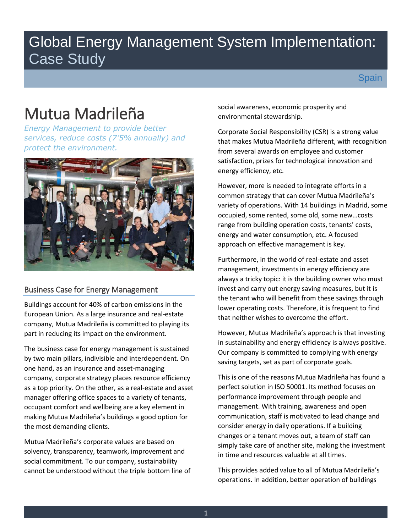# Global Energy Management System Implementation: Case Study

# Mutua Madrileña

*Energy Management to provide better services, reduce costs (7'5% annually) and protect the environment.*



## Business Case for Energy Management

Buildings account for 40% of carbon emissions in the European Union. As a large insurance and real-estate company, Mutua Madrileña is committed to playing its part in reducing its impact on the environment.

The business case for energy management is sustained by two main pillars, indivisible and interdependent. On one hand, as an insurance and asset-managing company, corporate strategy places resource efficiency as a top priority. On the other, as a real-estate and asset manager offering office spaces to a variety of tenants, occupant comfort and wellbeing are a key element in making Mutua Madrileña's buildings a good option for the most demanding clients.

Mutua Madrileña's corporate values are based on solvency, transparency, teamwork, improvement and social commitment. To our company, sustainability cannot be understood without the triple bottom line of social awareness, economic prosperity and environmental stewardship.

Corporate Social Responsibility (CSR) is a strong value that makes Mutua Madrileña different, with recognition from several awards on employee and customer satisfaction, prizes for technological innovation and energy efficiency, etc.

However, more is needed to integrate efforts in a common strategy that can cover Mutua Madrileña's variety of operations. With 14 buildings in Madrid, some occupied, some rented, some old, some new…costs range from building operation costs, tenants' costs, energy and water consumption, etc. A focused approach on effective management is key.

Furthermore, in the world of real-estate and asset management, investments in energy efficiency are always a tricky topic: it is the building owner who must invest and carry out energy saving measures, but it is the tenant who will benefit from these savings through lower operating costs. Therefore, it is frequent to find that neither wishes to overcome the effort.

However, Mutua Madrileña's approach is that investing in sustainability and energy efficiency is always positive. Our company is committed to complying with energy saving targets, set as part of corporate goals.

This is one of the reasons Mutua Madrileña has found a perfect solution in ISO 50001. Its method focuses on performance improvement through people and management. With training, awareness and open communication, staff is motivated to lead change and consider energy in daily operations. If a building changes or a tenant moves out, a team of staff can simply take care of another site, making the investment in time and resources valuable at all times.

This provides added value to all of Mutua Madrileña's operations. In addition, better operation of buildings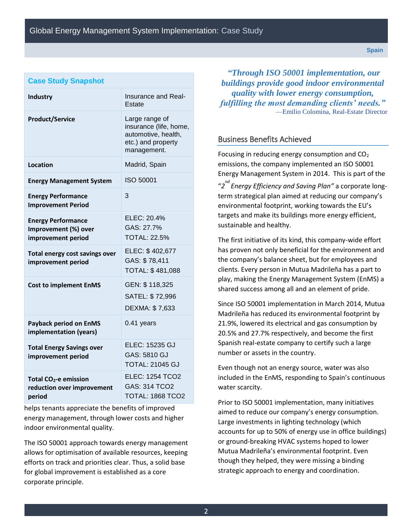| <b>Case Study Snapshot</b>                                              |                                                                                                      |
|-------------------------------------------------------------------------|------------------------------------------------------------------------------------------------------|
| <b>Industry</b>                                                         | Insurance and Real-<br>Estate                                                                        |
| <b>Product/Service</b>                                                  | Large range of<br>insurance (life, home,<br>automotive, health,<br>etc.) and property<br>management. |
| Location                                                                | Madrid, Spain                                                                                        |
| <b>Energy Management System</b>                                         | ISO 50001                                                                                            |
| <b>Energy Performance</b><br><b>Improvement Period</b>                  | 3                                                                                                    |
| <b>Energy Performance</b><br>Improvement (%) over<br>improvement period | ELEC: 20.4%<br>GAS: 27.7%<br><b>TOTAL: 22.5%</b>                                                     |
| Total energy cost savings over<br>improvement period                    | ELEC: \$402,677<br>GAS: \$78,411<br>TOTAL: \$481,088                                                 |
| <b>Cost to implement EnMS</b>                                           | GEN: \$118,325<br>SATEL: \$72,996<br>DEXMA: \$7,633                                                  |
| <b>Payback period on EnMS</b><br>implementation (years)                 | 0.41 years                                                                                           |
| <b>Total Energy Savings over</b><br>improvement period                  | ELEC: 15235 GJ<br>GAS: 5810 GJ<br><b>TOTAL: 21045 GJ</b>                                             |
| Total $CO2$ -e emission<br>reduction over improvement<br>period         | <b>ELEC: 1254 TCO2</b><br>GAS: 314 TCO2<br><b>TOTAL: 1868 TCO2</b>                                   |

helps tenants appreciate the benefits of improved energy management, through lower costs and higher indoor environmental quality.

The ISO 50001 approach towards energy management allows for optimisation of available resources, keeping efforts on track and priorities clear. Thus, a solid base for global improvement is established as a core corporate principle.

*"Through ISO 50001 implementation, our buildings provide good indoor environmental quality with lower energy consumption, fulfilling the most demanding clients' needs."* —Emilio Colomina, Real-Estate Director

## Business Benefits Achieved

Focusing in reducing energy consumption and  $CO<sub>2</sub>$ emissions, the company implemented an ISO 50001 Energy Management System in 2014. This is part of the "*2 nd Energy Efficiency and Saving Plan"* a corporate longterm strategical plan aimed at reducing our company's environmental footprint, working towards the EU's targets and make its buildings more energy efficient, sustainable and healthy.

The first initiative of its kind, this company-wide effort has proven not only beneficial for the environment and the company's balance sheet, but for employees and clients. Every person in Mutua Madrileña has a part to play, making the Energy Management System (EnMS) a shared success among all and an element of pride.

Since ISO 50001 implementation in March 2014, Mutua Madrileña has reduced its environmental footprint by 21.9%, lowered its electrical and gas consumption by 20.5% and 27.7% respectively, and become the first Spanish real-estate company to certify such a large number or assets in the country.

Even though not an energy source, water was also included in the EnMS, responding to Spain's continuous water scarcity.

Prior to ISO 50001 implementation, many initiatives aimed to reduce our company's energy consumption. Large investments in lighting technology (which accounts for up to 50% of energy use in office buildings) or ground-breaking HVAC systems hoped to lower Mutua Madrileña's environmental footprint. Even though they helped, they were missing a binding strategic approach to energy and coordination.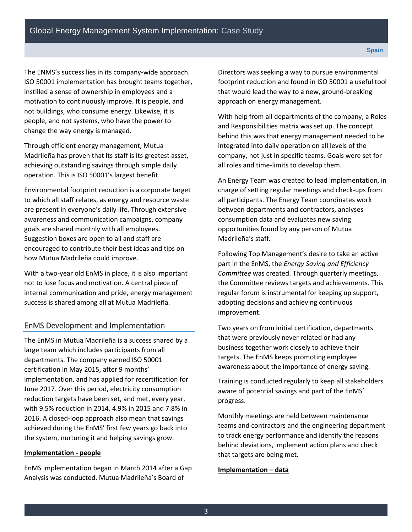The ENMS's success lies in its company-wide approach. ISO 50001 implementation has brought teams together, instilled a sense of ownership in employees and a motivation to continuously improve. It is people, and not buildings, who consume energy. Likewise, it is people, and not systems, who have the power to change the way energy is managed.

Through efficient energy management, Mutua Madrileña has proven that its staff is its greatest asset, achieving outstanding savings through simple daily operation. This is ISO 50001's largest benefit.

Environmental footprint reduction is a corporate target to which all staff relates, as energy and resource waste are present in everyone's daily life. Through extensive awareness and communication campaigns, company goals are shared monthly with all employees. Suggestion boxes are open to all and staff are encouraged to contribute their best ideas and tips on how Mutua Madrileña could improve.

With a two-year old EnMS in place, it is also important not to lose focus and motivation. A central piece of internal communication and pride, energy management success is shared among all at Mutua Madrileña.

## EnMS Development and Implementation

The EnMS in Mutua Madrileña is a success shared by a large team which includes participants from all departments. The company earned ISO 50001 certification in May 2015, after 9 months' implementation, and has applied for recertification for June 2017. Over this period, electricity consumption reduction targets have been set, and met, every year, with 9.5% reduction in 2014, 4.9% in 2015 and 7.8% in 2016. A closed-loop approach also mean that savings achieved during the EnMS' first few years go back into the system, nurturing it and helping savings grow.

### **Implementation - people**

EnMS implementation began in March 2014 after a Gap Analysis was conducted. Mutua Madrileña's Board of

Directors was seeking a way to pursue environmental footprint reduction and found in ISO 50001 a useful tool that would lead the way to a new, ground-breaking approach on energy management.

With help from all departments of the company, a Roles and Responsibilities matrix was set up. The concept behind this was that energy management needed to be integrated into daily operation on all levels of the company, not just in specific teams. Goals were set for all roles and time-limits to develop them.

An Energy Team was created to lead implementation, in charge of setting regular meetings and check-ups from all participants. The Energy Team coordinates work between departments and contractors, analyses consumption data and evaluates new saving opportunities found by any person of Mutua Madrileña's staff.

Following Top Management's desire to take an active part in the EnMS, the *Energy Saving and Efficiency Committee* was created. Through quarterly meetings, the Committee reviews targets and achievements. This regular forum is instrumental for keeping up support, adopting decisions and achieving continuous improvement.

Two years on from initial certification, departments that were previously never related or had any business together work closely to achieve their targets. The EnMS keeps promoting employee awareness about the importance of energy saving.

Training is conducted regularly to keep all stakeholders aware of potential savings and part of the EnMS' progress.

Monthly meetings are held between maintenance teams and contractors and the engineering department to track energy performance and identify the reasons behind deviations, implement action plans and check that targets are being met.

### **Implementation – data**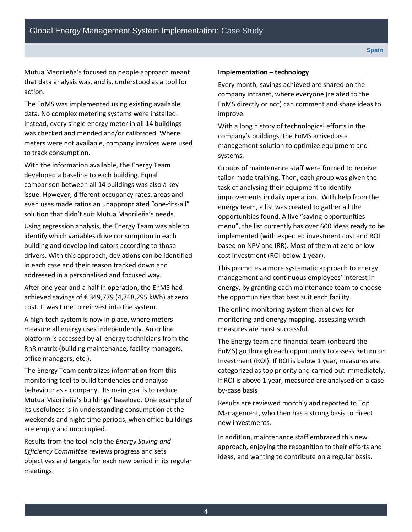Mutua Madrileña's focused on people approach meant that data analysis was, and is, understood as a tool for action.

The EnMS was implemented using existing available data. No complex metering systems were installed. Instead, every single energy meter in all 14 buildings was checked and mended and/or calibrated. Where meters were not available, company invoices were used to track consumption.

With the information available, the Energy Team developed a baseline to each building. Equal comparison between all 14 buildings was also a key issue. However, different occupancy rates, areas and even uses made ratios an unappropriated "one-fits-all" solution that didn't suit Mutua Madrileña's needs.

Using regression analysis, the Energy Team was able to identify which variables drive consumption in each building and develop indicators according to those drivers. With this approach, deviations can be identified in each case and their reason tracked down and addressed in a personalised and focused way.

After one year and a half in operation, the EnMS had achieved savings of € 349,779 (4,768,295 kWh) at zero cost. It was time to reinvest into the system.

A high-tech system is now in place, where meters measure all energy uses independently. An online platform is accessed by all energy technicians from the RnR matrix (building maintenance, facility managers, office managers, etc.).

The Energy Team centralizes information from this monitoring tool to build tendencies and analyse behaviour as a company. Its main goal is to reduce Mutua Madrileña's buildings' baseload. One example of its usefulness is in understanding consumption at the weekends and night-time periods, when office buildings are empty and unoccupied.

Results from the tool help the *Energy Saving and Efficiency Committee* reviews progress and sets objectives and targets for each new period in its regular meetings.

### **Implementation – technology**

Every month, savings achieved are shared on the company intranet, where everyone (related to the EnMS directly or not) can comment and share ideas to improve.

With a long history of technological efforts in the company's buildings, the EnMS arrived as a management solution to optimize equipment and systems.

Groups of maintenance staff were formed to receive tailor-made training. Then, each group was given the task of analysing their equipment to identify improvements in daily operation. With help from the energy team, a list was created to gather all the opportunities found. A live "saving-opportunities menu", the list currently has over 600 ideas ready to be implemented (with expected investment cost and ROI based on NPV and IRR). Most of them at zero or lowcost investment (ROI below 1 year).

This promotes a more systematic approach to energy management and continuous employees' interest in energy, by granting each maintenance team to choose the opportunities that best suit each facility.

The online monitoring system then allows for monitoring and energy mapping, assessing which measures are most successful.

The Energy team and financial team (onboard the EnMS) go through each opportunity to assess Return on Investment (ROI). If ROI is below 1 year, measures are categorized as top priority and carried out immediately. If ROI is above 1 year, measured are analysed on a caseby-case basis

Results are reviewed monthly and reported to Top Management, who then has a strong basis to direct new investments.

In addition, maintenance staff embraced this new approach, enjoying the recognition to their efforts and ideas, and wanting to contribute on a regular basis.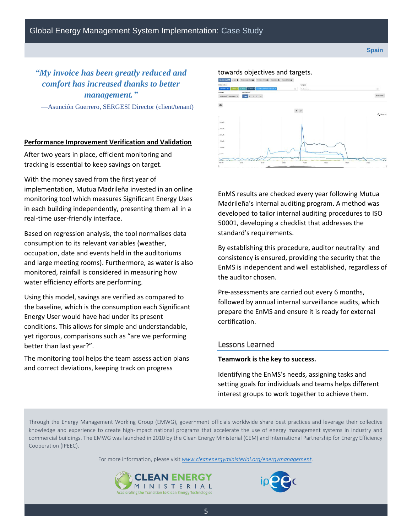# *"My invoice has been greatly reduced and comfort has increased thanks to better management."*

—Asunción Guerrero, SERGESI Director (client/tenant)

### **Performance Improvement Verification and Validation**

After two years in place, efficient monitoring and tracking is essential to keep savings on target.

With the money saved from the first year of implementation, Mutua Madrileña invested in an online monitoring tool which measures Significant Energy Uses in each building independently, presenting them all in a real-time user-friendly interface.

Based on regression analysis, the tool normalises data consumption to its relevant variables (weather, occupation, date and events held in the auditoriums and large meeting rooms). Furthermore, as water is also monitored, rainfall is considered in measuring how water efficiency efforts are performing.

Using this model, savings are verified as compared to the baseline, which is the consumption each Significant Energy User would have had under its present conditions. This allows for simple and understandable, yet rigorous, comparisons such as "are we performing better than last year?".

The monitoring tool helps the team assess action plans and correct deviations, keeping track on progress

# towards objectives and targets.



EnMS results are checked every year following Mutua Madrileña's internal auditing program. A method was developed to tailor internal auditing procedures to ISO 50001, developing a checklist that addresses the standard's requirements.

By establishing this procedure, auditor neutrality and consistency is ensured, providing the security that the EnMS is independent and well established, regardless of the auditor chosen.

Pre-assessments are carried out every 6 months, followed by annual internal surveillance audits, which prepare the EnMS and ensure it is ready for external certification.

### Lessons Learned

#### **Teamwork is the key to success.**

Identifying the EnMS's needs, assigning tasks and setting goals for individuals and teams helps different interest groups to work together to achieve them.

Through the Energy Management Working Group (EMWG), government officials worldwide share best practices and leverage their collective knowledge and experience to create high-impact national programs that accelerate the use of energy management systems in industry and commercial buildings. The EMWG was launched in 2010 by the Clean Energy Ministerial (CEM) and International Partnership for Energy Efficiency Cooperation (IPEEC).

For more information, please visit *[www.cleanenergyministerial.org/energymanagement.](http://www.cleanenergyministerial.org/energymanagement)*